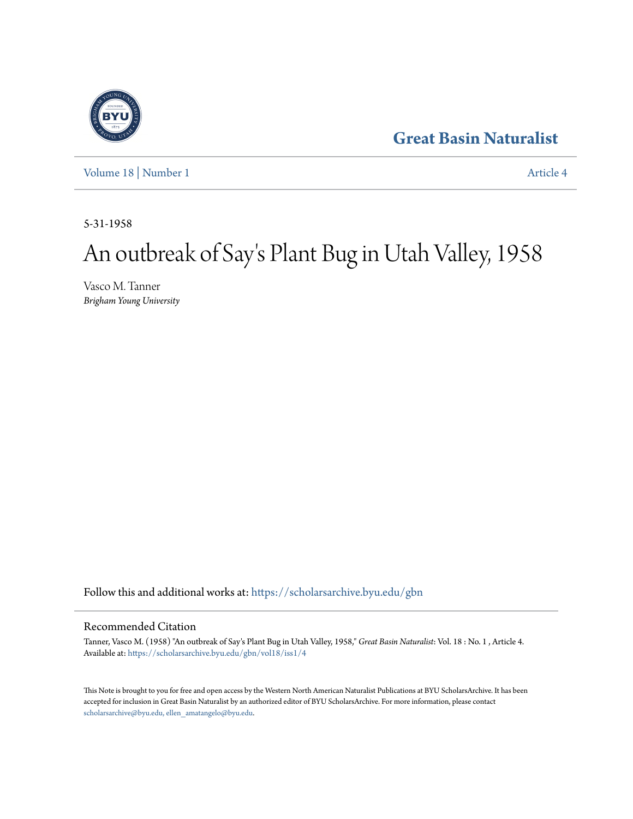## **[Great Basin Naturalist](https://scholarsarchive.byu.edu/gbn?utm_source=scholarsarchive.byu.edu%2Fgbn%2Fvol18%2Fiss1%2F4&utm_medium=PDF&utm_campaign=PDFCoverPages)**

[Volume 18](https://scholarsarchive.byu.edu/gbn/vol18?utm_source=scholarsarchive.byu.edu%2Fgbn%2Fvol18%2Fiss1%2F4&utm_medium=PDF&utm_campaign=PDFCoverPages) | [Number 1](https://scholarsarchive.byu.edu/gbn/vol18/iss1?utm_source=scholarsarchive.byu.edu%2Fgbn%2Fvol18%2Fiss1%2F4&utm_medium=PDF&utm_campaign=PDFCoverPages) [Article 4](https://scholarsarchive.byu.edu/gbn/vol18/iss1/4?utm_source=scholarsarchive.byu.edu%2Fgbn%2Fvol18%2Fiss1%2F4&utm_medium=PDF&utm_campaign=PDFCoverPages)

5-31-1958

# An outbreak of Say 's Plant Bug in Utah Valley, 1958

Vasco M. Tanner *Brigham Young University*

Follow this and additional works at: [https://scholarsarchive.byu.edu/gbn](https://scholarsarchive.byu.edu/gbn?utm_source=scholarsarchive.byu.edu%2Fgbn%2Fvol18%2Fiss1%2F4&utm_medium=PDF&utm_campaign=PDFCoverPages)

### Recommended Citation

Tanner, Vasco M. (1958) "An outbreak of Say's Plant Bug in Utah Valley, 1958," *Great Basin Naturalist*: Vol. 18 : No. 1 , Article 4. Available at: [https://scholarsarchive.byu.edu/gbn/vol18/iss1/4](https://scholarsarchive.byu.edu/gbn/vol18/iss1/4?utm_source=scholarsarchive.byu.edu%2Fgbn%2Fvol18%2Fiss1%2F4&utm_medium=PDF&utm_campaign=PDFCoverPages)

This Note is brought to you for free and open access by the Western North American Naturalist Publications at BYU ScholarsArchive. It has been accepted for inclusion in Great Basin Naturalist by an authorized editor of BYU ScholarsArchive. For more information, please contact [scholarsarchive@byu.edu, ellen\\_amatangelo@byu.edu.](mailto:scholarsarchive@byu.edu,%20ellen_amatangelo@byu.edu)